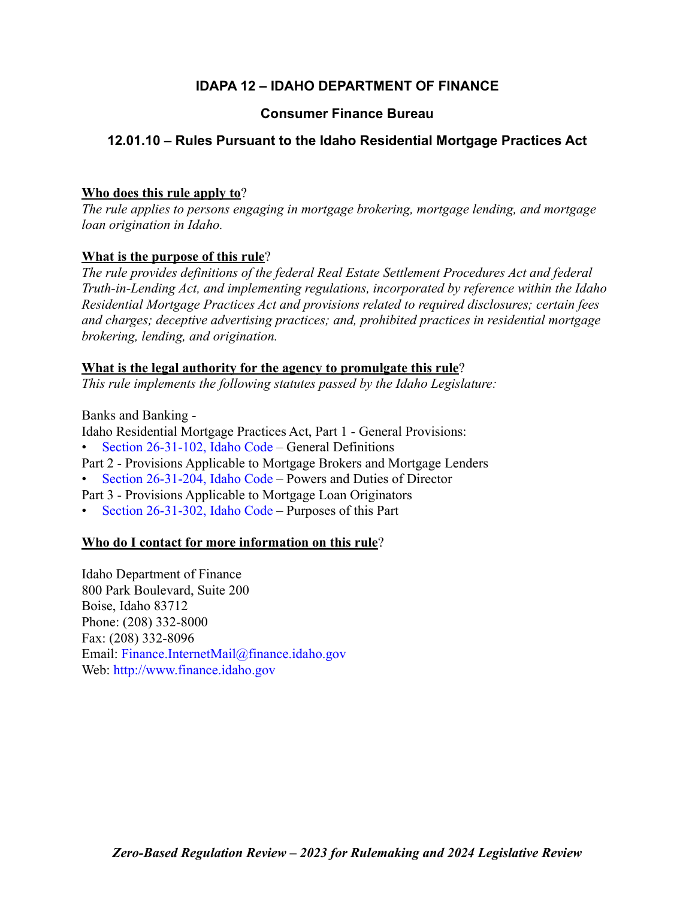# **IDAPA 12 – IDAHO DEPARTMENT OF FINANCE**

# **Consumer Finance Bureau**

# **12.01.10 – Rules Pursuant to the Idaho Residential Mortgage Practices Act**

# **Who does this rule apply to**?

*The rule applies to persons engaging in mortgage brokering, mortgage lending, and mortgage loan origination in Idaho.* 

# **What is the purpose of this rule**?

*The rule provides definitions of the federal Real Estate Settlement Procedures Act and federal Truth-in-Lending Act, and implementing regulations, incorporated by reference within the Idaho Residential Mortgage Practices Act and provisions related to required disclosures; certain fees and charges; deceptive advertising practices; and, prohibited practices in residential mortgage brokering, lending, and origination.*

# **What is the legal authority for the agency to promulgate this rule**?

*This rule implements the following statutes passed by the Idaho Legislature:*

Banks and Banking -

Idaho Residential Mortgage Practices Act, Part 1 - General Provisions: • [Section 26-31-102, Idaho Code –](https://legislature.idaho.gov/statutesrules/idstat/Title26/T26CH31/SECT26-31-102/) General Definitions

- Part 2 Provisions Applicable to Mortgage Brokers and Mortgage Lenders
- [Section 26-31-204, Idaho Code –](https://legislature.idaho.gov/statutesrules/idstat/Title26/T26CH31/SECT26-31-204/) Powers and Duties of Director
- Part 3 Provisions Applicable to Mortgage Loan Originators
- [Section 26-31-302, Idaho Code –](https://legislature.idaho.gov/statutesrules/idstat/Title26/T26CH31/SECT26-31-302/) Purposes of this Part

# **Who do I contact for more information on this rule**?

Idaho Department of Finance 800 Park Boulevard, Suite 200 Boise, Idaho 83712 Phone: (208) 332-8000 Fax: (208) 332-8096 Email: [Finance.InternetMail@finance.idaho.gov](mailto:Finance.InternetMail@finance.idaho.gov) Web: <http://www.finance.idaho.gov>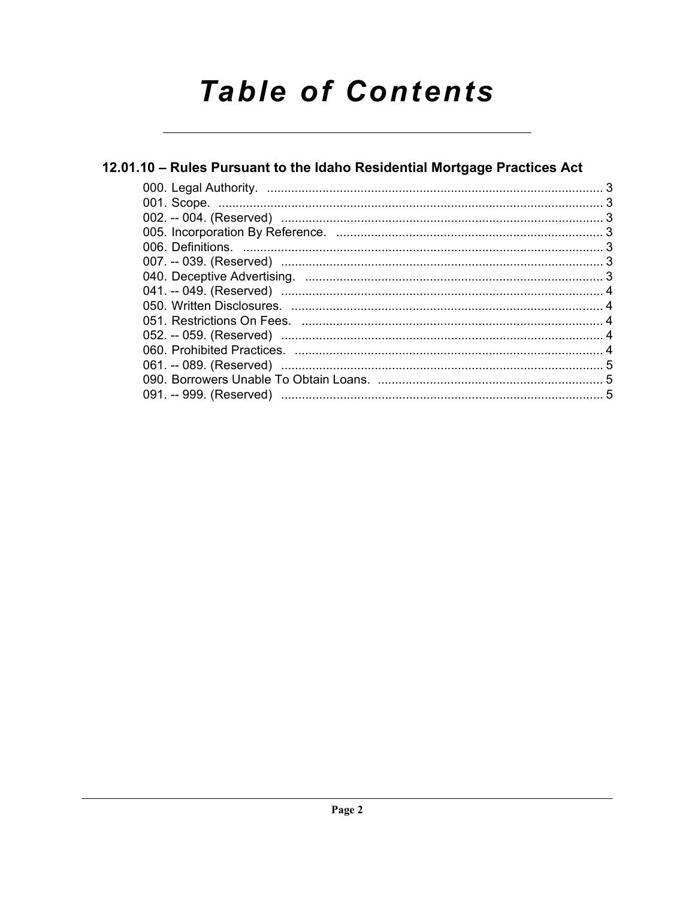# **Table of Contents**

# 12.01.10 - Rules Pursuant to the Idaho Residential Mortgage Practices Act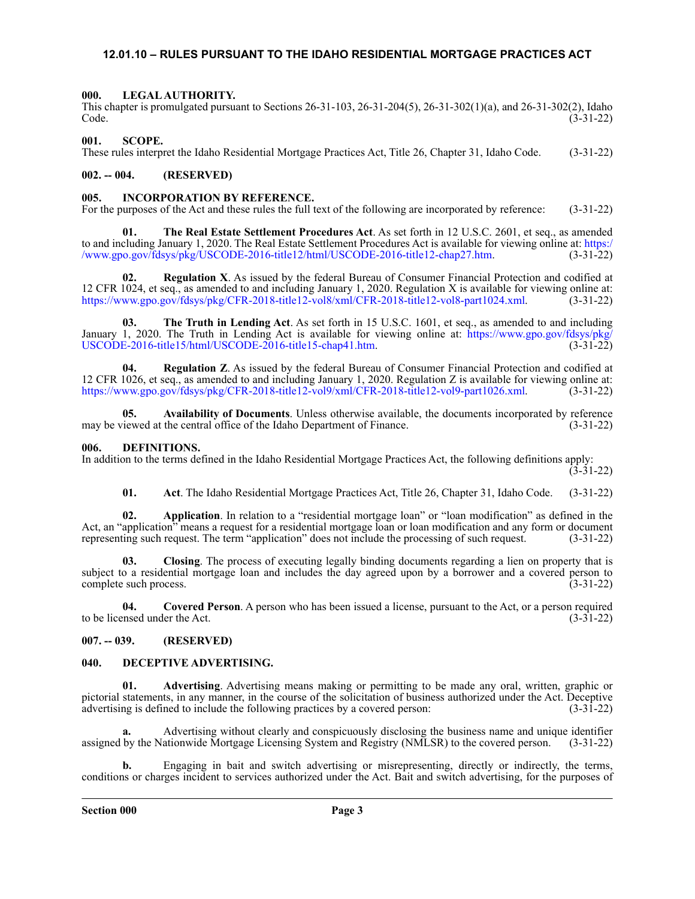## <span id="page-2-0"></span>**12.01.10 – RULES PURSUANT TO THE IDAHO RESIDENTIAL MORTGAGE PRACTICES ACT**

#### <span id="page-2-1"></span>**000. LEGAL AUTHORITY.**

This chapter is promulgated pursuant to Sections 26-31-103, 26-31-204(5), 26-31-302(1)(a), and 26-31-302(2), Idaho Code. (3-31-22)

#### <span id="page-2-2"></span>**001. SCOPE.**

These rules interpret the Idaho Residential Mortgage Practices Act, Title 26, Chapter 31, Idaho Code. (3-31-22)

### <span id="page-2-3"></span>**002. -- 004. (RESERVED)**

#### <span id="page-2-4"></span>**005. INCORPORATION BY REFERENCE.**

For the purposes of the Act and these rules the full text of the following are incorporated by reference: (3-31-22)

**01. The Real Estate Settlement Procedures Act**. As set forth in 12 U.S.C. 2601, et seq., as amended to and including January 1, 2020. The Real Estate Settlement Procedures Act is available for viewing online at: [https:/](https://www.gpo.gov/fdsys/pkg/USCODE-2016-title12/html/USCODE-2016-title12-chap27.htm) [/www.gpo.gov/fdsys/pkg/USCODE-2016-title12/html/USCODE-2016-title12-chap27.htm.](https://www.gpo.gov/fdsys/pkg/USCODE-2016-title12/html/USCODE-2016-title12-chap27.htm) (3-31-22)

**02. Regulation X**. As issued by the federal Bureau of Consumer Financial Protection and codified at 12 CFR 1024, et seq., as amended to and including January 1, 2020. Regulation X is available for viewing online at: [https://www.gpo.gov/fdsys/pkg/CFR-2018-title12-vol8/xml/CFR-2018-title12-vol8-part1024.xml.](https://www.gpo.gov/fdsys/pkg/CFR-2018-title12-vol8/xml/CFR-2018-title12-vol8-part1024.xml) (3-31-22)

**03. The Truth in Lending Act**. As set forth in 15 U.S.C. 1601, et seq., as amended to and including January 1, 2020. The Truth in Lending Act is available for viewing online at: [https://www.gpo.gov/fdsys/pkg/](https://www.gpo.gov/fdsys/pkg/USCODE-2016-title15/html/USCODE-2016-title15-chap41.htm) [USCODE-2016-title15/html/USCODE-2016-title15-chap41.htm](https://www.gpo.gov/fdsys/pkg/USCODE-2016-title15/html/USCODE-2016-title15-chap41.htm). (3-31-22)

**04. Regulation Z**. As issued by the federal Bureau of Consumer Financial Protection and codified at 12 CFR 1026, et seq., as amended to and including January 1, 2020. Regulation Z is available for viewing online at: [https://www.gpo.gov/fdsys/pkg/CFR-2018-title12-vol9/xml/CFR-2018-title12-vol9-part1026.xml.](https://www.gpo.gov/fdsys/pkg/CFR-2018-title12-vol9/xml/CFR-2018-title12-vol9-part1026.xml) (3-31-22)

**05. Availability of Documents**. Unless otherwise available, the documents incorporated by reference may be viewed at the central office of the Idaho Department of Finance. (3-31-22)

#### <span id="page-2-5"></span>**006. DEFINITIONS.**

In addition to the terms defined in the Idaho Residential Mortgage Practices Act, the following definitions apply:  $(3-31-22)$ 

**01. Act**. The Idaho Residential Mortgage Practices Act, Title 26, Chapter 31, Idaho Code. (3-31-22)

**02. Application**. In relation to a "residential mortgage loan" or "loan modification" as defined in the Act, an "application" means a request for a residential mortgage loan or loan modification and any form or document representing such request. The term "application" does not include the processing of such request. (3-31-22)

**03. Closing**. The process of executing legally binding documents regarding a lien on property that is subject to a residential mortgage loan and includes the day agreed upon by a borrower and a covered person to complete such process. (3-31-22)

**04.** Covered Person. A person who has been issued a license, pursuant to the Act, or a person required insed under the Act. (3-31-22) to be licensed under the Act.

#### <span id="page-2-6"></span>**007. -- 039. (RESERVED)**

#### <span id="page-2-7"></span>**040. DECEPTIVE ADVERTISING.**

**01. Advertising**. Advertising means making or permitting to be made any oral, written, graphic or pictorial statements, in any manner, in the course of the solicitation of business authorized under the Act. Deceptive advertising is defined to include the following practices by a covered person: (3-31-22)

**a.** Advertising without clearly and conspicuously disclosing the business name and unique identifier by the Nationwide Mortgage Licensing System and Registry (NMLSR) to the covered person. (3-31-22) assigned by the Nationwide Mortgage Licensing System and Registry (NMLSR) to the covered person.

**b.** Engaging in bait and switch advertising or misrepresenting, directly or indirectly, the terms, conditions or charges incident to services authorized under the Act. Bait and switch advertising, for the purposes of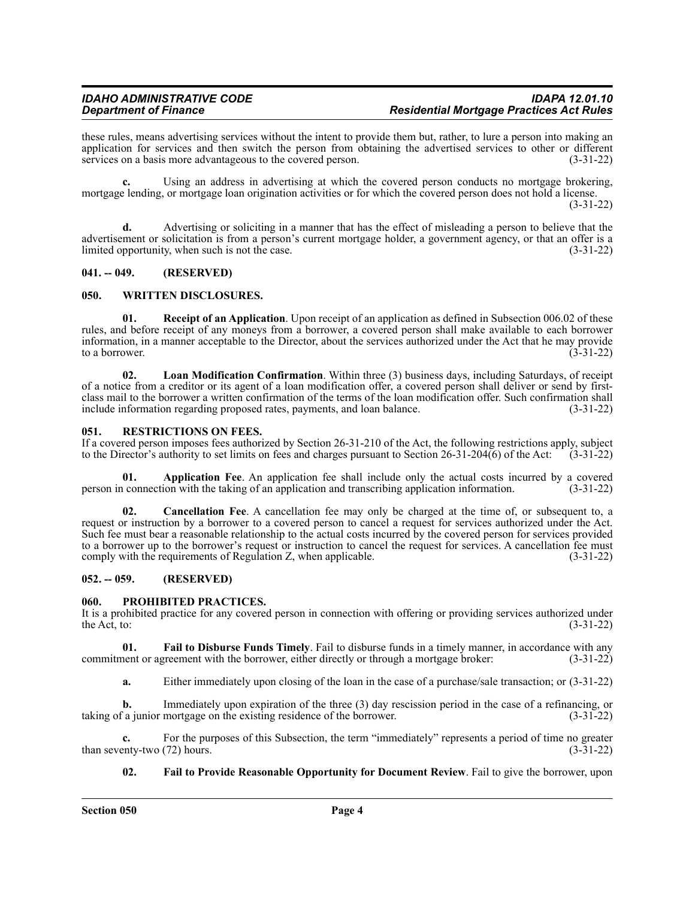these rules, means advertising services without the intent to provide them but, rather, to lure a person into making an application for services and then switch the person from obtaining the advertised services to other or different services on a basis more advantageous to the covered person. (3-31-22)

**c.** Using an address in advertising at which the covered person conducts no mortgage brokering, mortgage lending, or mortgage loan origination activities or for which the covered person does not hold a license. (3-31-22)

**d.** Advertising or soliciting in a manner that has the effect of misleading a person to believe that the advertisement or solicitation is from a person's current mortgage holder, a government agency, or that an offer is a limited opportunity, when such is not the case.  $(3-31-22)$ 

#### <span id="page-3-0"></span>**041. -- 049. (RESERVED)**

#### <span id="page-3-1"></span>**050. WRITTEN DISCLOSURES.**

**01. Receipt of an Application**. Upon receipt of an application as defined in Subsection 006.02 of these rules, and before receipt of any moneys from a borrower, a covered person shall make available to each borrower information, in a manner acceptable to the Director, about the services authorized under the Act that he may provide to a borrower.  $(3-31-22)$ 

**02. Loan Modification Confirmation**. Within three (3) business days, including Saturdays, of receipt of a notice from a creditor or its agent of a loan modification offer, a covered person shall deliver or send by firstclass mail to the borrower a written confirmation of the terms of the loan modification offer. Such confirmation shall include information regarding proposed rates, payments, and loan balance. (3-31-22)

#### <span id="page-3-2"></span>**051. RESTRICTIONS ON FEES.**

If a covered person imposes fees authorized by Section 26-31-210 of the Act, the following restrictions apply, subject to the Director's authority to set limits on fees and charges pursuant to Section 26-31-204(6) of the Act:  $(3-31-22)$ 

**01. Application Fee**. An application fee shall include only the actual costs incurred by a covered person in connection with the taking of an application and transcribing application information. (3-31-22)

**02. Cancellation Fee**. A cancellation fee may only be charged at the time of, or subsequent to, a request or instruction by a borrower to a covered person to cancel a request for services authorized under the Act. Such fee must bear a reasonable relationship to the actual costs incurred by the covered person for services provided to a borrower up to the borrower's request or instruction to cancel the request for services. A cancellation fee must comply with the requirements of Regulation Z, when applicable. (3-31-22)

### <span id="page-3-3"></span>**052. -- 059. (RESERVED)**

#### <span id="page-3-4"></span>**060. PROHIBITED PRACTICES.**

It is a prohibited practice for any covered person in connection with offering or providing services authorized under<br>the Act, to: (3-31-22) the Act, to:  $(3-31-22)$ 

**01. Fail to Disburse Funds Timely**. Fail to disburse funds in a timely manner, in accordance with any commitment or agreement with the borrower, either directly or through a mortgage broker: (3-31-22)

**a.** Either immediately upon closing of the loan in the case of a purchase/sale transaction; or (3-31-22)

**b.** Immediately upon expiration of the three (3) day rescission period in the case of a refinancing, or taking of a junior mortgage on the existing residence of the borrower. (3-31-22)

**c.** For the purposes of this Subsection, the term "immediately" represents a period of time no greater enty-two (72) hours. (3-31-22) than seventy-two  $(72)$  hours.

**02. Fail to Provide Reasonable Opportunity for Document Review**. Fail to give the borrower, upon